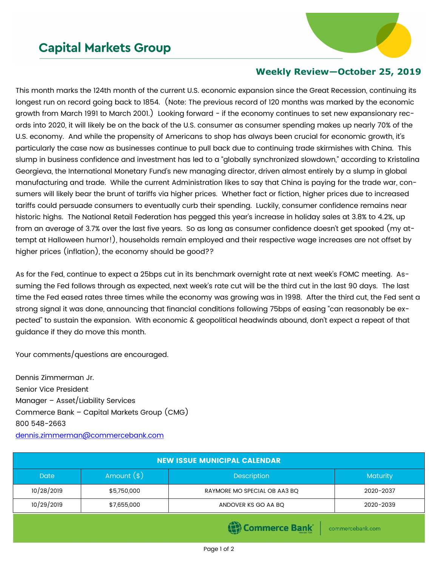## **Capital Markets Group**



## **Weekly Review—October 25, 2019**

This month marks the 124th month of the current U.S. economic expansion since the Great Recession, continuing its longest run on record going back to 1854. (Note: The previous record of 120 months was marked by the economic growth from March 1991 to March 2001.) Looking forward - if the economy continues to set new expansionary records into 2020, it will likely be on the back of the U.S. consumer as consumer spending makes up nearly 70% of the U.S. economy. And while the propensity of Americans to shop has always been crucial for economic growth, it's particularly the case now as businesses continue to pull back due to continuing trade skirmishes with China. This slump in business confidence and investment has led to a "globally synchronized slowdown," according to Kristalina Georgieva, the International Monetary Fund's new managing director, driven almost entirely by a slump in global manufacturing and trade. While the current Administration likes to say that China is paying for the trade war, consumers will likely bear the brunt of tariffs via higher prices. Whether fact or fiction, higher prices due to increased tariffs could persuade consumers to eventually curb their spending. Luckily, consumer confidence remains near historic highs. The National Retail Federation has pegged this year's increase in holiday sales at 3.8% to 4.2%, up from an average of 3.7% over the last five years. So as long as consumer confidence doesn't get spooked (my attempt at Halloween humor!), households remain employed and their respective wage increases are not offset by higher prices (inflation), the economy should be good??

As for the Fed, continue to expect a 25bps cut in its benchmark overnight rate at next week's FOMC meeting. Assuming the Fed follows through as expected, next week's rate cut will be the third cut in the last 90 days. The last time the Fed eased rates three times while the economy was growing was in 1998. After the third cut, the Fed sent a strong signal it was done, announcing that financial conditions following 75bps of easing "can reasonably be expected" to sustain the expansion. With economic & geopolitical headwinds abound, don't expect a repeat of that guidance if they do move this month.

Your comments/questions are encouraged.

Dennis Zimmerman Jr. Senior Vice President Manager – Asset/Liability Services Commerce Bank – Capital Markets Group (CMG) 800 548-2663 [dennis.zimmerman@commercebank.com](mailto:dennis.zimmerman@commercebank.com)

| <b>NEW ISSUE MUNICIPAL CALENDAR</b> |              |                              |                 |  |  |  |
|-------------------------------------|--------------|------------------------------|-----------------|--|--|--|
| <b>Date</b>                         | Amount $(*)$ | <b>Description</b>           | <b>Maturity</b> |  |  |  |
| 10/28/2019                          | \$5,750,000  | RAYMORE MO SPECIAL OB AA3 BQ | 2020-2037       |  |  |  |
| 10/29/2019                          | \$7,655,000  | ANDOVER KS GO AA BQ          | 2020-2039       |  |  |  |
| $\sqrt{2}$                          |              |                              |                 |  |  |  |

내 Commerce Bank

commercebank.com